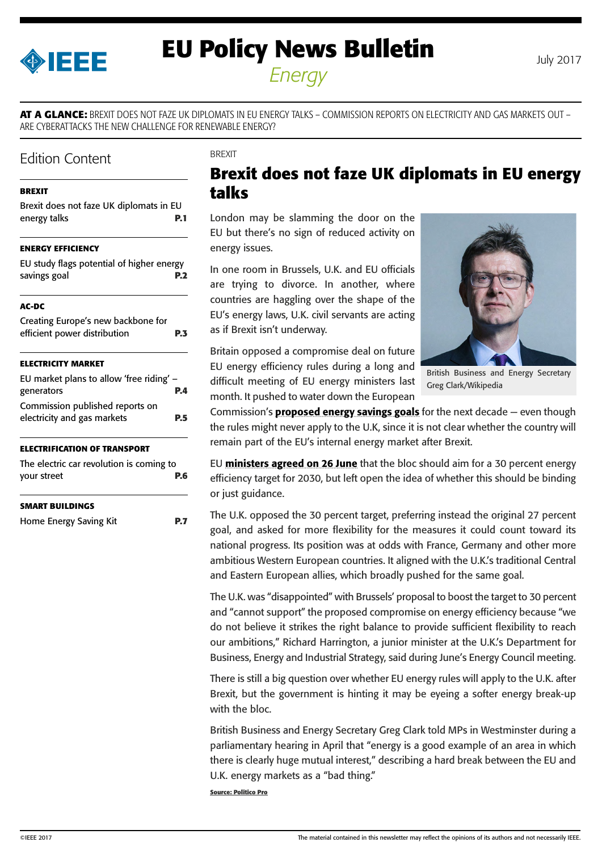<span id="page-0-0"></span>

# **EU Policy News Bulletin** July 2017 *Energy*

**AT A GLANCE:** BREXIT DOES NOT FAZE UK DIPLOMATS IN EU ENERGY TALKS – COMMISSION REPORTS ON ELECTRICITY AND GAS MARKETS OUT – ARE CYBERATTACKS THE NEW CHALLENGE FOR RENEWABLE ENERGY?

# Edition Content

### **BREXIT**

| Brexit does not faze UK diplomats in EU |            |
|-----------------------------------------|------------|
| energy talks                            | <b>P.1</b> |

### **[ENERGY EFFICIENCY](#page-1-0)**

| EU study flags potential of higher energy |            |
|-------------------------------------------|------------|
| savings goal                              | <b>P.2</b> |

#### **[AC-DC](#page-2-0)**

| Creating Europe's new backbone for<br>efficient power distribution<br><b>P.3</b> |  |
|----------------------------------------------------------------------------------|--|
| <b>ELECTRICITY MARKET</b>                                                        |  |
| EU market plans to allow 'free riding' -                                         |  |
| generators                                                                       |  |

| χειιειαινισ                     | г. т       |
|---------------------------------|------------|
| Commission published reports on |            |
| electricity and gas markets     | <b>P.5</b> |
|                                 |            |

### **[ELECTRIFICATION OF TRANSPORT](#page-5-0)**

| The electric car revolution is coming to |     |
|------------------------------------------|-----|
| your street                              | P.6 |

### **[SMART BUILDINGS](#page-6-0)**

```
Home Energy Saving Kit P.7
```
**BREXIT** 

# **Brexit does not faze UK diplomats in EU energy talks**

London may be slamming the door on the EU but there's no sign of reduced activity on energy issues.

In one room in Brussels, U.K. and EU officials are trying to divorce. In another, where countries are haggling over the shape of the EU's energy laws, U.K. civil servants are acting as if Brexit isn't underway.

Britain opposed a compromise deal on future EU energy efficiency rules during a long and difficult meeting of EU energy ministers last month. It pushed to water down the European



British Business and Energy Secretary Greg Clark/Wikipedia

Commission's **[proposed energy savings goals](http://ec.europa.eu/energy/sites/ener/files/documents/1_en_act_part1_v16.pdf)** for the next decade  $-$  even though the rules might never apply to the U.K, since it is not clear whether the country will remain part of the EU's internal energy market after Brexit.

EU [ministers agreed on 26 June](http://www.consilium.europa.eu/en/press/press-releases/2017/06/26-energy-efficient-buildings/?utm_source=dsms-auto&utm_medium=email&utm_campaign=Energy+efficient+buildings+%3a+increased+energy+savings+and+better+living+conditions) that the bloc should aim for a 30 percent energy efficiency target for 2030, but left open the idea of whether this should be binding or just guidance.

The U.K. opposed the 30 percent target, preferring instead the original 27 percent goal, and asked for more flexibility for the measures it could count toward its national progress. Its position was at odds with France, Germany and other more ambitious Western European countries. It aligned with the U.K.'s traditional Central and Eastern European allies, which broadly pushed for the same goal.

The U.K. was "disappointed" with Brussels' proposal to boost the target to 30 percent and "cannot support" the proposed compromise on energy efficiency because "we do not believe it strikes the right balance to provide sufficient flexibility to reach our ambitions," Richard Harrington, a junior minister at the U.K.'s Department for Business, Energy and Industrial Strategy, said during June's Energy Council meeting.

There is still a big question over whether EU energy rules will apply to the U.K. after Brexit, but the government is hinting it may be eyeing a softer energy break-up with the bloc.

British Business and Energy Secretary Greg Clark told MPs in Westminster during a parliamentary hearing in April that "energy is a good example of an area in which there is clearly huge mutual interest," describing a hard break between the EU and U.K. energy markets as a "bad thing."

**Source: Politico Pro**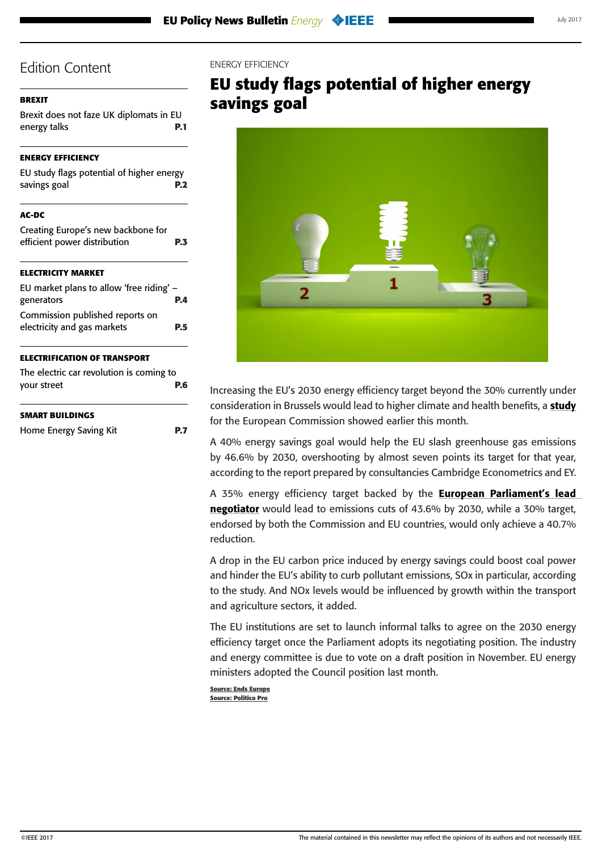### <span id="page-1-0"></span>**[BREXIT](#page-0-0)**

[Brexit does not faze UK diplomats in EU](#page-0-0)  [energy talks](#page-0-0) **P.1**

### **ENERGY EFFICIENCY**

| EU study flags potential of higher energy<br>savings goal          | P.2 |
|--------------------------------------------------------------------|-----|
| AC-DC                                                              |     |
| Creating Europe's new backbone for<br>efficient power distribution | P.3 |
| ELECTRICITY MARKET                                                 |     |
| EU market plans to allow 'free riding' -<br>generators             | P.4 |
| Commission published reports on<br>electricity and gas markets     | P.5 |
| ELECTRIFICATION OF TRANSPORT                                       |     |
| The electric car revolution is coming to<br>your street            | P.6 |
| SMART BUILDINGS                                                    |     |
| Home Energy Saving Kit                                             | P.7 |

### ENERGY EFFICIENCY

# **EU study flags potential of higher energy savings goal**



Increasing the EU's 2030 energy efficiency target beyond the 30% currently under consideration in Brussels would lead to higher climate and health benefits, a [study](https://ec.europa.eu/energy/sites/ener/files/documents/the_macro-level_and_sectoral_impacts_of_energy_efficiency_policies.pdf) for the European Commission showed earlier this month.

A 40% energy savings goal would help the EU slash greenhouse gas emissions by 46.6% by 2030, overshooting by almost seven points its target for that year, according to the report prepared by consultancies Cambridge Econometrics and EY.

A 35% energy efficiency target backed by the **European Parliament's lead** [negotiator](http://www.europarl.europa.eu/sides/getDoc.do?pubRef=-%2f%2fEP%2f%2fNONSGML%2bCOMPARL%2bPE-604.805%2b01%2bDOC%2bPDF%2bV0%2f%2fEN) would lead to emissions cuts of 43.6% by 2030, while a 30% target, endorsed by both the Commission and EU countries, would only achieve a 40.7% reduction.

A drop in the EU carbon price induced by energy savings could boost coal power and hinder the EU's ability to curb pollutant emissions, SOx in particular, according to the study. And NOx levels would be influenced by growth within the transport and agriculture sectors, it added.

The EU institutions are set to launch informal talks to agree on the 2030 energy efficiency target once the Parliament adopts its negotiating position. The industry and energy committee is due to vote on a draft position in November. EU energy ministers adopted the Council position last month.

**Source: Ends Europe Source: Politico Pro**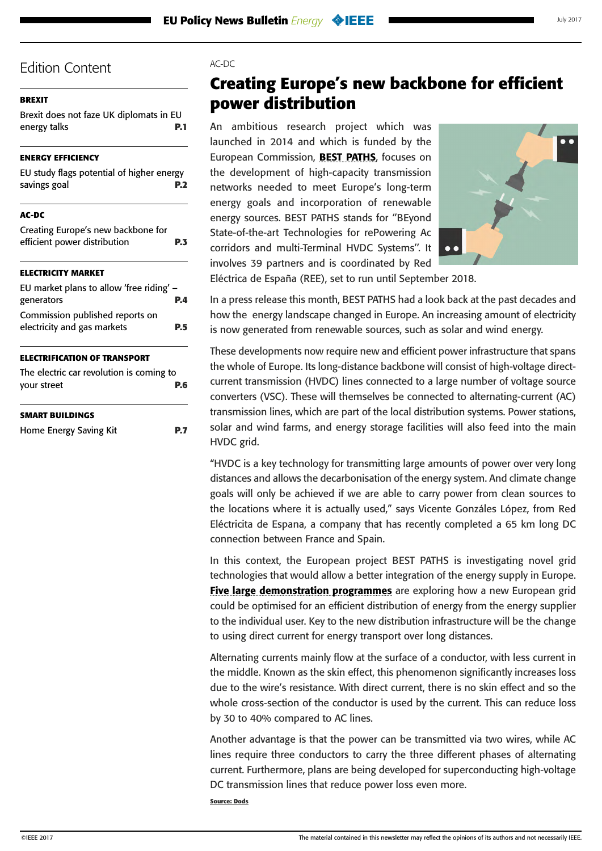## <span id="page-2-0"></span>**[BREXIT](#page-0-0)**

[Brexit does not faze UK diplomats in EU](#page-0-0)  [energy talks](#page-0-0) **P.1**

## **[ENERGY EFFICIENCY](#page-1-0)**

| EU study flags potential of higher energy<br>savings goal          | P.2 |
|--------------------------------------------------------------------|-----|
| AC-DC                                                              |     |
| Creating Europe's new backbone for<br>efficient power distribution | P.3 |
| <b>ELECTRICITY MARKET</b>                                          |     |
| EU market plans to allow 'free riding' $-$<br>generators           | P.4 |
| Commission published reports on<br>electricity and gas markets     | P.5 |
| <b>ELECTRIFICATION OF TRANSPORT</b>                                |     |
| The electric car revolution is coming to<br>your street            | P.6 |

### **[SMART BUILDINGS](#page-6-0)**

[Home Energy Saving Kit](#page-6-0) **P.7**

### $AC-DC$

# **Creating Europe's new backbone for efficient power distribution**

An ambitious research project which was launched in 2014 and which is funded by the European Commission, **[BEST PATHS](http://www.bestpaths-project.eu/en/project)**, focuses on the development of high-capacity transmission networks needed to meet Europe's long-term energy goals and incorporation of renewable energy sources. BEST PATHS stands for ''BEyond State-of-the-art Technologies for rePowering Ac corridors and multi-Terminal HVDC Systems''. It involves 39 partners and is coordinated by Red



Eléctrica de España (REE), set to run until September 2018.

In a press release this month, BEST PATHS had a look back at the past decades and how the energy landscape changed in Europe. An increasing amount of electricity is now generated from renewable sources, such as solar and wind energy.

These developments now require new and efficient power infrastructure that spans the whole of Europe. Its long-distance backbone will consist of high-voltage directcurrent transmission (HVDC) lines connected to a large number of voltage source converters (VSC). These will themselves be connected to alternating-current (AC) transmission lines, which are part of the local distribution systems. Power stations, solar and wind farms, and energy storage facilities will also feed into the main HVDC grid.

"HVDC is a key technology for transmitting large amounts of power over very long distances and allows the decarbonisation of the energy system. And climate change goals will only be achieved if we are able to carry power from clean sources to the locations where it is actually used," says Vicente Gonzáles López, from Red Eléctricita de Espana, a company that has recently completed a 65 km long DC connection between France and Spain.

In this context, the European project BEST PATHS is investigating novel grid technologies that would allow a better integration of the energy supply in Europe. [Five large demonstration programmes](http://www.bestpaths-project.eu/en/demonstration) are exploring how a new European grid could be optimised for an efficient distribution of energy from the energy supplier to the individual user. Key to the new distribution infrastructure will be the change to using direct current for energy transport over long distances.

Alternating currents mainly flow at the surface of a conductor, with less current in the middle. Known as the skin effect, this phenomenon significantly increases loss due to the wire's resistance. With direct current, there is no skin effect and so the whole cross-section of the conductor is used by the current. This can reduce loss by 30 to 40% compared to AC lines.

Another advantage is that the power can be transmitted via two wires, while AC lines require three conductors to carry the three different phases of alternating current. Furthermore, plans are being developed for superconducting high-voltage DC transmission lines that reduce power loss even more.

**Source: Dods**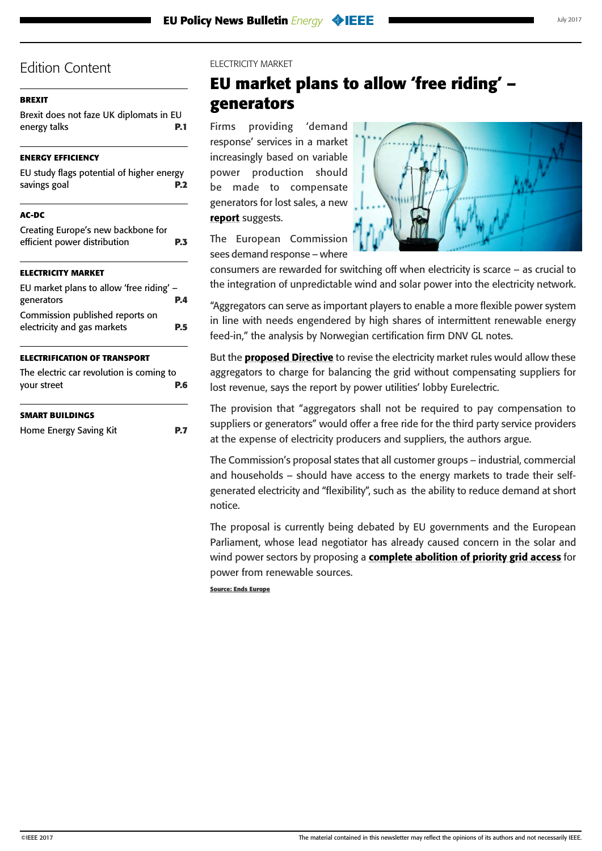## <span id="page-3-0"></span>**[BREXIT](#page-0-0)**

[Brexit does not faze UK diplomats in EU](#page-0-0)  [energy talks](#page-0-0) **P.1**

## **[ENERGY EFFICIENCY](#page-1-0)**

| EU study flags potential of higher energy |            |
|-------------------------------------------|------------|
| savings goal                              | <b>P.2</b> |
|                                           |            |

## **[AC-DC](#page-2-0)**

| Creating Europe's new backbone for<br>efficient power distribution | P.3 |
|--------------------------------------------------------------------|-----|
| <b>ELECTRICITY MARKET</b>                                          |     |
| EU market plans to allow 'free riding' $-$<br>generators           | P.4 |
| Commission published reports on<br>electricity and gas markets     | P.5 |
| <b>ELECTRIFICATION OF TRANSPORT</b>                                |     |
| The electric car revolution is coming to<br>your street            | P.6 |
| <b>SMART BUILDINGS</b>                                             |     |
| Home Energy Saving Kit                                             |     |

### ELECTRICITY MARKET

# **EU market plans to allow 'free riding' – generators**

Firms providing 'demand response' services in a market increasingly based on variable power production should be made to compensate generators for lost sales, a new [report](http://www.eurelectric.org/media/340051/arrangements-for-demand-response-aggregation-report-es-07-2017.pdf) suggests.



The European Commission sees demand response – where

consumers are rewarded for switching off when electricity is scarce – as crucial to the integration of unpredictable wind and solar power into the electricity network.

"Aggregators can serve as important players to enable a more flexible power system in line with needs engendered by high shares of intermittent renewable energy feed-in," the analysis by Norwegian certification firm DNV GL notes.

But the **[proposed Directive](http://eur-lex.europa.eu/resource.html?uri=cellar:9796c7a3-b7ba-11e6-9e3c-01aa75ed71a1.0001.02/DOC_1&format=PDF)** to revise the electricity market rules would allow these aggregators to charge for balancing the grid without compensating suppliers for lost revenue, says the report by power utilities' lobby Eurelectric.

The provision that "aggregators shall not be required to pay compensation to suppliers or generators" would offer a free ride for the third party service providers at the expense of electricity producers and suppliers, the authors argue.

The Commission's proposal states that all customer groups – industrial, commercial and households – should have access to the energy markets to trade their selfgenerated electricity and "flexibility", such as the ability to reduce demand at short notice.

The proposal is currently being debated by EU governments and the European Parliament, whose lead negotiator has already caused concern in the solar and wind power sectors by proposing a [complete abolition of priority grid access](http://www.europarl.europa.eu/sides/getDoc.do?pubRef=-%2f%2fEP%2f%2fNONSGML%2bCOMPARL%2bPE-597.758%2b01%2bDOC%2bPDF%2bV0%2f%2fEN) for power from renewable sources.

**Source: Ends Europe**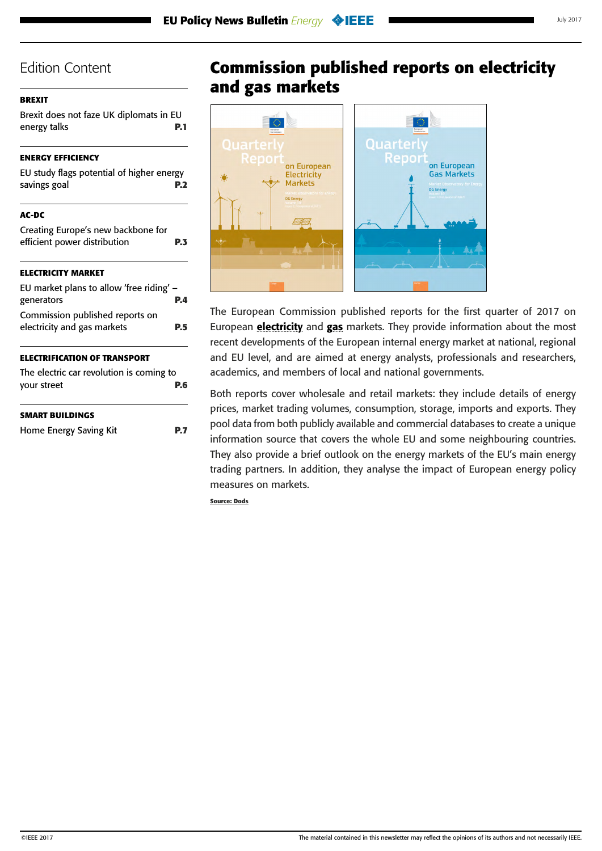## <span id="page-4-0"></span>**[BREXIT](#page-0-0)**

[Brexit does not faze UK diplomats in EU](#page-0-0)  [energy talks](#page-0-0) **P.1**

## **[ENERGY EFFICIENCY](#page-1-0)**

| EU study flags potential of higher energy |            |
|-------------------------------------------|------------|
| savings goal                              | <b>P.2</b> |

## **[AC-DC](#page-2-0)**

| Creating Europe's new backbone for<br>efficient power distribution | P.3 |
|--------------------------------------------------------------------|-----|
| <b>ELECTRICITY MARKET</b>                                          |     |
| EU market plans to allow 'free riding' -<br>generators             | P.4 |
| Commission published reports on<br>electricity and gas markets     | P.5 |
| <b>ELECTRIFICATION OF TRANSPORT</b>                                |     |
| The electric car revolution is coming to<br>your street            | P.6 |

### **[SMART BUILDINGS](#page-6-0)**

| Home Energy Saving Kit | <b>P.7</b> |
|------------------------|------------|
|                        |            |

# **Commission published reports on electricity and gas markets**



The European Commission published reports for the first quarter of 2017 on European **[electricity](https://ec.europa.eu/energy/sites/ener/files/documents/quarterly_report_on_european_electricity_markets_q1_2017.pdf)** and **[gas](https://ec.europa.eu/energy/sites/ener/files/documents/quarterly_report_on_european_gas_markets_q1_2017.pdf)** markets. They provide information about the most recent developments of the European internal energy market at national, regional and EU level, and are aimed at energy analysts, professionals and researchers, academics, and members of local and national governments.

Both reports cover wholesale and retail markets: they include details of energy prices, market trading volumes, consumption, storage, imports and exports. They pool data from both publicly available and commercial databases to create a unique information source that covers the whole EU and some neighbouring countries. They also provide a brief outlook on the energy markets of the EU's main energy trading partners. In addition, they analyse the impact of European energy policy measures on markets.

**Source: Dods**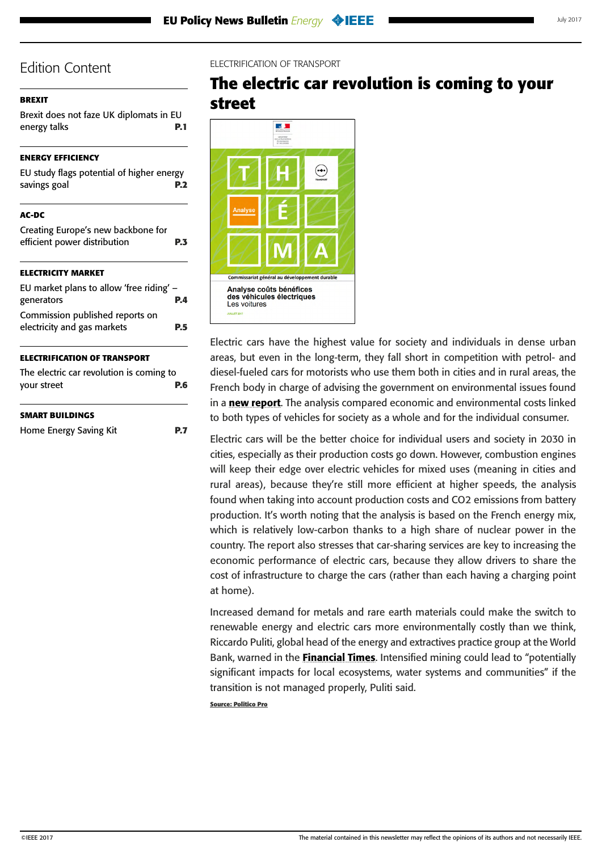## <span id="page-5-0"></span>**[BREXIT](#page-0-0)**

[Brexit does not faze UK diplomats in EU](#page-0-0)  [energy talks](#page-0-0) **P.1**

## **[ENERGY EFFICIENCY](#page-1-0)**

| EU study flags potential of higher energy |  |
|-------------------------------------------|--|
| savings goal                              |  |
|                                           |  |
| AC-DC                                     |  |
| Creating Europe's new backbone for        |  |
| efficient power distribution              |  |

## **[ELECTRICITY MARKET](#page-3-0)**

| EU market plans to allow 'free riding' - |     |
|------------------------------------------|-----|
| generators                               | PД  |
| Commission published reports on          |     |
| electricity and gas markets              | P.5 |
|                                          |     |

### **ELECTRIFICATION OF TRANSPORT**

| The electric car revolution is coming to |     |
|------------------------------------------|-----|
| your street                              | P.6 |

### **[SMART BUILDINGS](#page-6-0)**

```
Home Energy Saving Kit P.7
```
## ELECTRIFICATION OF TRANSPORT

# **The electric car revolution is coming to your street**



Electric cars have the highest value for society and individuals in dense urban areas, but even in the long-term, they fall short in competition with petrol- and diesel-fueled cars for motorists who use them both in cities and in rural areas, the French body in charge of advising the government on environmental issues found in a [new report](https://www.ecologique-solidaire.gouv.fr/sites/default/files/Th%C3%A9ma%20-%20Analyse%20co%C3%BBts%20b%C3%A9n%C3%A9fices%20des%20v%C3%A9hicules%20%C3%A9lectriques.pdf). The analysis compared economic and environmental costs linked to both types of vehicles for society as a whole and for the individual consumer.

Electric cars will be the better choice for individual users and society in 2030 in cities, especially as their production costs go down. However, combustion engines will keep their edge over electric vehicles for mixed uses (meaning in cities and rural areas), because they're still more efficient at higher speeds, the analysis found when taking into account production costs and CO2 emissions from battery production. It's worth noting that the analysis is based on the French energy mix, which is relatively low-carbon thanks to a high share of nuclear power in the country. The report also stresses that car-sharing services are key to increasing the economic performance of electric cars, because they allow drivers to share the cost of infrastructure to charge the cars (rather than each having a charging point at home).

Increased demand for metals and rare earth materials could make the switch to renewable energy and electric cars more environmentally costly than we think, Riccardo Puliti, global head of the energy and extractives practice group at the World Bank, warned in the **[Financial Times](https://www.ft.com/content/5bea3cfc-6717-11e7-8526-7b38dcaef614)**. Intensified mining could lead to "potentially significant impacts for local ecosystems, water systems and communities" if the transition is not managed properly, Puliti said.

**Source: Politico Pro**